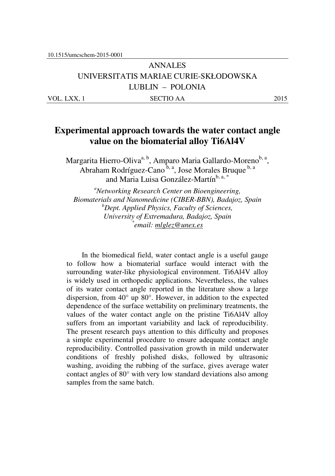# ANNALES UNIVERSITATIS MARIAE CURIE-SKŁODOWSKA LUBLIN – POLONIA VOL. LXX, 1 SECTIO AA 2015

# **Experimental approach towards the water contact angle value on the biomaterial alloy Ti6Al4V**

Margarita Hierro-Oliva<sup>a, b</sup>, Amparo Maria Gallardo-Moreno<sup>b, a</sup>, Abraham Rodríguez-Cano $^{\tilde{b}, a}$ , Jose Morales Bruque  $^{\tilde{b}, a}$ and Maria Luisa González-Martín<sup>b, a, \*</sup>

*<sup>a</sup>Networking Research Center on Bioengineering, Biomaterials and Nanomedicine (CIBER-BBN), Badajoz, Spain <sup>b</sup>Dept. Applied Physics, Faculty of Sciences, University of Extremadura, Badajoz, Spain \* email: mlglez@unex.es* 

In the biomedical field, water contact angle is a useful gauge to follow how a biomaterial surface would interact with the surrounding water-like physiological environment. Ti6Al4V alloy is widely used in orthopedic applications. Nevertheless, the values of its water contact angle reported in the literature show a large dispersion, from 40° up 80°. However, in addition to the expected dependence of the surface wettability on preliminary treatments, the values of the water contact angle on the pristine Ti6Al4V alloy suffers from an important variability and lack of reproducibility. The present research pays attention to this difficulty and proposes a simple experimental procedure to ensure adequate contact angle reproducibility. Controlled passivation growth in mild underwater conditions of freshly polished disks, followed by ultrasonic washing, avoiding the rubbing of the surface, gives average water contact angles of 80° with very low standard deviations also among samples from the same batch.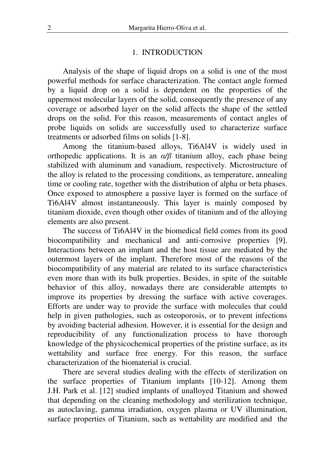#### 1. INTRODUCTION

Analysis of the shape of liquid drops on a solid is one of the most powerful methods for surface characterization. The contact angle formed by a liquid drop on a solid is dependent on the properties of the uppermost molecular layers of the solid, consequently the presence of any coverage or adsorbed layer on the solid affects the shape of the settled drops on the solid. For this reason, measurements of contact angles of probe liquids on solids are successfully used to characterize surface treatments or adsorbed films on solids [1-8].

Among the titanium-based alloys, Ti6Al4V is widely used in orthopedic applications. It is an  $\alpha/\beta$  titanium alloy, each phase being stabilized with aluminum and vanadium, respectively. Microstructure of the alloy is related to the processing conditions, as temperature, annealing time or cooling rate, together with the distribution of alpha or beta phases. Once exposed to atmosphere a passive layer is formed on the surface of Ti6Al4V almost instantaneously. This layer is mainly composed by titanium dioxide, even though other oxides of titanium and of the alloying elements are also present.

The success of Ti6Al4V in the biomedical field comes from its good biocompatibility and mechanical and anti-corrosive properties [9]. Interactions between an implant and the host tissue are mediated by the outermost layers of the implant. Therefore most of the reasons of the biocompatibility of any material are related to its surface characteristics even more than with its bulk properties. Besides, in spite of the suitable behavior of this alloy, nowadays there are considerable attempts to improve its properties by dressing the surface with active coverages. Efforts are under way to provide the surface with molecules that could help in given pathologies, such as osteoporosis, or to prevent infections by avoiding bacterial adhesion. However, it is essential for the design and reproducibility of any functionalization process to have thorough knowledge of the physicochemical properties of the pristine surface, as its wettability and surface free energy. For this reason, the surface characterization of the biomaterial is crucial.

There are several studies dealing with the effects of sterilization on the surface properties of Titanium implants [10-12]. Among them J.H. Park et al. [12] studied implants of unalloyed Titanium and showed that depending on the cleaning methodology and sterilization technique, as autoclaving, gamma irradiation, oxygen plasma or UV illumination, surface properties of Titanium, such as wettability are modified and the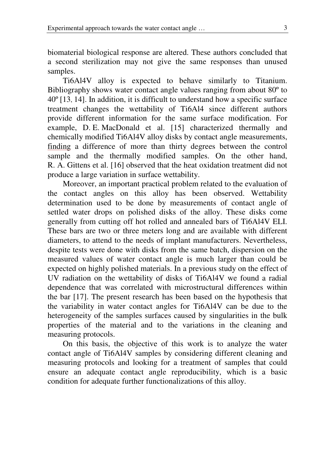biomaterial biological response are altered. These authors concluded that a second sterilization may not give the same responses than unused samples.

Ti6Al4V alloy is expected to behave similarly to Titanium. Bibliography shows water contact angle values ranging from about 80º to 40º [13, 14]. In addition, it is difficult to understand how a specific surface treatment changes the wettability of Ti6Al4 since different authors provide different information for the same surface modification. For example, D. E. MacDonald et al. [15] characterized thermally and chemically modified Ti6Al4V alloy disks by contact angle measurements, finding a difference of more than thirty degrees between the control sample and the thermally modified samples. On the other hand, R. A. Gittens et al. [16] observed that the heat oxidation treatment did not produce a large variation in surface wettability.

Moreover, an important practical problem related to the evaluation of the contact angles on this alloy has been observed. Wettability determination used to be done by measurements of contact angle of settled water drops on polished disks of the alloy. These disks come generally from cutting off hot rolled and annealed bars of Ti6Al4V ELI. These bars are two or three meters long and are available with different diameters, to attend to the needs of implant manufacturers. Nevertheless, despite tests were done with disks from the same batch, dispersion on the measured values of water contact angle is much larger than could be expected on highly polished materials. In a previous study on the effect of UV radiation on the wettability of disks of Ti6Al4V we found a radial dependence that was correlated with microstructural differences within the bar [17]. The present research has been based on the hypothesis that the variability in water contact angles for Ti6Al4V can be due to the heterogeneity of the samples surfaces caused by singularities in the bulk properties of the material and to the variations in the cleaning and measuring protocols.

On this basis, the objective of this work is to analyze the water contact angle of Ti6Al4V samples by considering different cleaning and measuring protocols and looking for a treatment of samples that could ensure an adequate contact angle reproducibility, which is a basic condition for adequate further functionalizations of this alloy.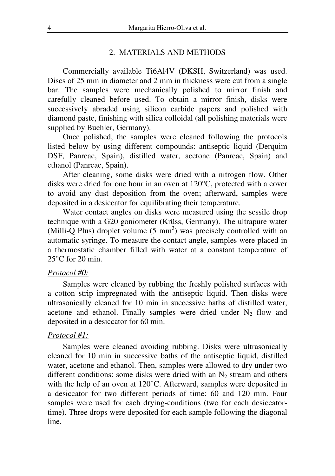## 2. MATERIALS AND METHODS

Commercially available Ti6Al4V (DKSH, Switzerland) was used. Discs of 25 mm in diameter and 2 mm in thickness were cut from a single bar. The samples were mechanically polished to mirror finish and carefully cleaned before used. To obtain a mirror finish, disks were successively abraded using silicon carbide papers and polished with diamond paste, finishing with silica colloidal (all polishing materials were supplied by Buehler, Germany).

Once polished, the samples were cleaned following the protocols listed below by using different compounds: antiseptic liquid (Derquim DSF, Panreac, Spain), distilled water, acetone (Panreac, Spain) and ethanol (Panreac, Spain).

After cleaning, some disks were dried with a nitrogen flow. Other disks were dried for one hour in an oven at 120°C, protected with a cover to avoid any dust deposition from the oven; afterward, samples were deposited in a desiccator for equilibrating their temperature.

Water contact angles on disks were measured using the sessile drop technique with a G20 goniometer (Krüss, Germany). The ultrapure water  $(Milli-Q$  Plus) droplet volume  $(5 \text{ mm}^3)$  was precisely controlled with an automatic syringe. To measure the contact angle, samples were placed in a thermostatic chamber filled with water at a constant temperature of 25°C for 20 min.

### *Protocol #0:*

Samples were cleaned by rubbing the freshly polished surfaces with a cotton strip impregnated with the antiseptic liquid. Then disks were ultrasonically cleaned for 10 min in successive baths of distilled water, acetone and ethanol. Finally samples were dried under  $N_2$  flow and deposited in a desiccator for 60 min.

## *Protocol #1:*

Samples were cleaned avoiding rubbing. Disks were ultrasonically cleaned for 10 min in successive baths of the antiseptic liquid, distilled water, acetone and ethanol. Then, samples were allowed to dry under two different conditions: some disks were dried with an  $N_2$  stream and others with the help of an oven at 120°C. Afterward, samples were deposited in a desiccator for two different periods of time: 60 and 120 min. Four samples were used for each drying-conditions (two for each desiccatortime). Three drops were deposited for each sample following the diagonal line.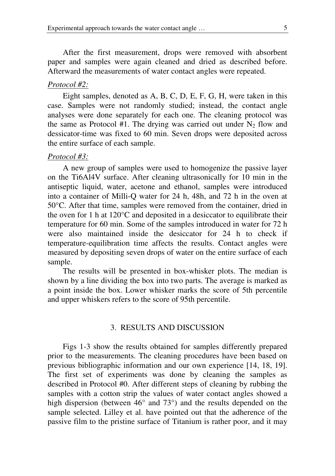After the first measurement, drops were removed with absorbent paper and samples were again cleaned and dried as described before. Afterward the measurements of water contact angles were repeated.

#### *Protocol #2:*

Eight samples, denoted as A, B, C, D, E, F, G, H, were taken in this case. Samples were not randomly studied; instead, the contact angle analyses were done separately for each one. The cleaning protocol was the same as Protocol #1. The drying was carried out under  $N_2$  flow and dessicator-time was fixed to 60 min. Seven drops were deposited across the entire surface of each sample.

#### *Protocol #3:*

A new group of samples were used to homogenize the passive layer on the Ti6Al4V surface. After cleaning ultrasonically for 10 min in the antiseptic liquid, water, acetone and ethanol, samples were introduced into a container of Milli-Q water for 24 h, 48h, and 72 h in the oven at 50°C. After that time, samples were removed from the container, dried in the oven for 1 h at 120°C and deposited in a desiccator to equilibrate their temperature for 60 min. Some of the samples introduced in water for 72 h were also maintained inside the desiccator for 24 h to check if temperature-equilibration time affects the results. Contact angles were measured by depositing seven drops of water on the entire surface of each sample.

The results will be presented in box-whisker plots. The median is shown by a line dividing the box into two parts. The average is marked as a point inside the box. Lower whisker marks the score of 5th percentile and upper whiskers refers to the score of 95th percentile.

## 3. RESULTS AND DISCUSSION

Figs 1-3 show the results obtained for samples differently prepared prior to the measurements. The cleaning procedures have been based on previous bibliographic information and our own experience [14, 18, 19]. The first set of experiments was done by cleaning the samples as described in Protocol #0. After different steps of cleaning by rubbing the samples with a cotton strip the values of water contact angles showed a high dispersion (between 46° and 73°) and the results depended on the sample selected. Lilley et al. have pointed out that the adherence of the passive film to the pristine surface of Titanium is rather poor, and it may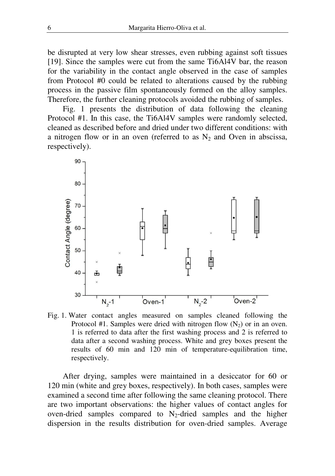be disrupted at very low shear stresses, even rubbing against soft tissues [19]. Since the samples were cut from the same Ti6Al4V bar, the reason for the variability in the contact angle observed in the case of samples from Protocol #0 could be related to alterations caused by the rubbing process in the passive film spontaneously formed on the alloy samples. Therefore, the further cleaning protocols avoided the rubbing of samples.

Fig. 1 presents the distribution of data following the cleaning Protocol #1. In this case, the Ti6Al4V samples were randomly selected, cleaned as described before and dried under two different conditions: with a nitrogen flow or in an oven (referred to as  $N_2$  and Oven in abscissa, respectively).



Fig. 1. Water contact angles measured on samples cleaned following the Protocol #1. Samples were dried with nitrogen flow  $(N_2)$  or in an oven. 1 is referred to data after the first washing process and 2 is referred to data after a second washing process. White and grey boxes present the results of 60 min and 120 min of temperature-equilibration time, respectively.

After drying, samples were maintained in a desiccator for 60 or 120 min (white and grey boxes, respectively). In both cases, samples were examined a second time after following the same cleaning protocol. There are two important observations: the higher values of contact angles for oven-dried samples compared to  $N_2$ -dried samples and the higher dispersion in the results distribution for oven-dried samples. Average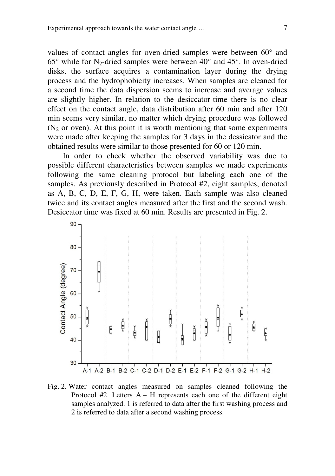values of contact angles for oven-dried samples were between 60° and  $65^{\circ}$  while for N<sub>2</sub>-dried samples were between  $40^{\circ}$  and  $45^{\circ}$ . In oven-dried disks, the surface acquires a contamination layer during the drying process and the hydrophobicity increases. When samples are cleaned for a second time the data dispersion seems to increase and average values are slightly higher. In relation to the desiccator-time there is no clear effect on the contact angle, data distribution after 60 min and after 120 min seems very similar, no matter which drying procedure was followed  $(N<sub>2</sub>$  or oven). At this point it is worth mentioning that some experiments were made after keeping the samples for 3 days in the dessicator and the obtained results were similar to those presented for 60 or 120 min.

In order to check whether the observed variability was due to possible different characteristics between samples we made experiments following the same cleaning protocol but labeling each one of the samples. As previously described in Protocol #2, eight samples, denoted as A, B, C, D, E, F, G, H, were taken. Each sample was also cleaned twice and its contact angles measured after the first and the second wash. Desiccator time was fixed at 60 min. Results are presented in Fig. 2.



Fig. 2. Water contact angles measured on samples cleaned following the Protocol  $#2$ . Letters  $A - H$  represents each one of the different eight samples analyzed. 1 is referred to data after the first washing process and 2 is referred to data after a second washing process.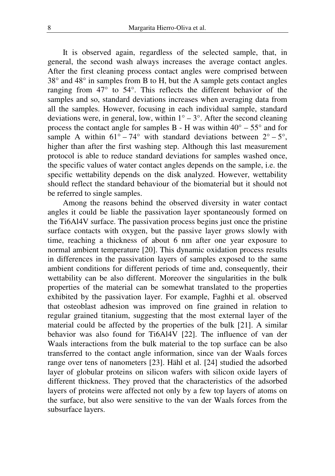It is observed again, regardless of the selected sample, that, in general, the second wash always increases the average contact angles. After the first cleaning process contact angles were comprised between 38° and 48° in samples from B to H, but the A sample gets contact angles ranging from 47° to 54°. This reflects the different behavior of the samples and so, standard deviations increases when averaging data from all the samples. However, focusing in each individual sample, standard deviations were, in general, low, within  $1^\circ - 3^\circ$ . After the second cleaning process the contact angle for samples B - H was within  $40^{\circ} - 55^{\circ}$  and for sample A within  $61^\circ - 74^\circ$  with standard deviations between  $2^\circ - 5^\circ$ , higher than after the first washing step. Although this last measurement protocol is able to reduce standard deviations for samples washed once, the specific values of water contact angles depends on the sample, i.e. the specific wettability depends on the disk analyzed. However, wettability should reflect the standard behaviour of the biomaterial but it should not be referred to single samples.

Among the reasons behind the observed diversity in water contact angles it could be liable the passivation layer spontaneously formed on the Ti6Al4V surface. The passivation process begins just once the pristine surface contacts with oxygen, but the passive layer grows slowly with time, reaching a thickness of about 6 nm after one year exposure to normal ambient temperature [20]. This dynamic oxidation process results in differences in the passivation layers of samples exposed to the same ambient conditions for different periods of time and, consequently, their wettability can be also different. Moreover the singularities in the bulk properties of the material can be somewhat translated to the properties exhibited by the passivation layer. For example, Faghhi et al. observed that osteoblast adhesion was improved on fine grained in relation to regular grained titanium, suggesting that the most external layer of the material could be affected by the properties of the bulk [21]. A similar behavior was also found for Ti6Al4V [22]. The influence of van der Waals interactions from the bulk material to the top surface can be also transferred to the contact angle information, since van der Waals forces range over tens of nanometers [23]. Hähl et al. [24] studied the adsorbed layer of globular proteins on silicon wafers with silicon oxide layers of different thickness. They proved that the characteristics of the adsorbed layers of proteins were affected not only by a few top layers of atoms on the surface, but also were sensitive to the van der Waals forces from the subsurface layers.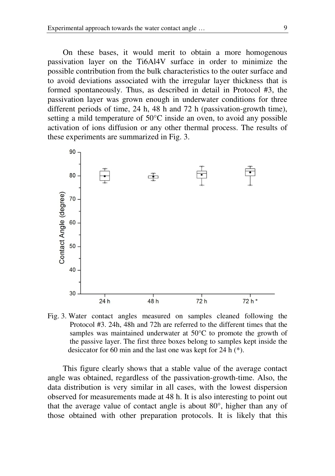On these bases, it would merit to obtain a more homogenous passivation layer on the Ti6Al4V surface in order to minimize the possible contribution from the bulk characteristics to the outer surface and to avoid deviations associated with the irregular layer thickness that is formed spontaneously. Thus, as described in detail in Protocol #3, the passivation layer was grown enough in underwater conditions for three different periods of time, 24 h, 48 h and 72 h (passivation-growth time), setting a mild temperature of 50°C inside an oven, to avoid any possible activation of ions diffusion or any other thermal process. The results of these experiments are summarized in Fig. 3.



Fig. 3. Water contact angles measured on samples cleaned following the Protocol #3. 24h, 48h and 72h are referred to the different times that the samples was maintained underwater at 50°C to promote the growth of the passive layer. The first three boxes belong to samples kept inside the desiccator for 60 min and the last one was kept for 24 h (\*).

This figure clearly shows that a stable value of the average contact angle was obtained, regardless of the passivation-growth-time. Also, the data distribution is very similar in all cases, with the lowest dispersion observed for measurements made at 48 h. It is also interesting to point out that the average value of contact angle is about 80°, higher than any of those obtained with other preparation protocols. It is likely that this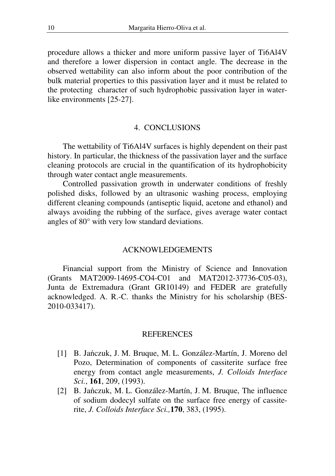procedure allows a thicker and more uniform passive layer of Ti6Al4V and therefore a lower dispersion in contact angle. The decrease in the observed wettability can also inform about the poor contribution of the bulk material properties to this passivation layer and it must be related to the protecting character of such hydrophobic passivation layer in waterlike environments [25-27].

### 4. CONCLUSIONS

The wettability of Ti6Al4V surfaces is highly dependent on their past history. In particular, the thickness of the passivation layer and the surface cleaning protocols are crucial in the quantification of its hydrophobicity through water contact angle measurements.

Controlled passivation growth in underwater conditions of freshly polished disks, followed by an ultrasonic washing process, employing different cleaning compounds (antiseptic liquid, acetone and ethanol) and always avoiding the rubbing of the surface, gives average water contact angles of 80° with very low standard deviations.

### ACKNOWLEDGEMENTS

Financial support from the Ministry of Science and Innovation (Grants MAT2009-14695-CO4-C01 and MAT2012-37736-C05-03), Junta de Extremadura (Grant GR10149) and FEDER are gratefully acknowledged. A. R.-C. thanks the Ministry for his scholarship (BES-2010-033417).

#### REFERENCES

- [1] B. Jańczuk, J. M. Bruque, M. L. González-Martín, J. Moreno del Pozo, Determination of components of cassiterite surface free energy from contact angle measurements, *J. Colloids Interface Sci.*, **161**, 209, (1993).
- [2] B. Jańczuk, M. L. González-Martín, J. M. Bruque, The influence of sodium dodecyl sulfate on the surface free energy of cassiterite, *J. Colloids Interface Sci.,***170**, 383, (1995).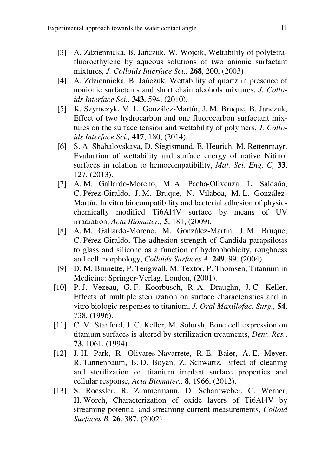- [3] A. Zdziennicka, B. Jańczuk, W. Wojcik, Wettability of polytetrafluoroethylene by aqueous solutions of two anionic surfactant mixtures, *J. Colloids Interface Sci.,* **268**, 200, (2003)
- [4] A. Zdziennicka, B. Jańczuk, Wettability of quartz in presence of nonionic surfactants and short chain alcohols mixtures, *J. Colloids Interface Sci.,* **343**, 594, (2010).
- [5] K. Szymczyk, M. L. González-Martín, J. M. Bruque, B. Jańczuk, Effect of two hydrocarbon and one fluorocarbon surfactant mixtures on the surface tension and wettability of polymers, *J. Colloids Interface Sci.,* **417**, 180, (2014).
- [6] S. A. Shabalovskaya, D. Siegismund, E. Heurich, M. Rettenmayr, Evaluation of wettability and surface energy of native Nitinol surfaces in relation to hemocompatibility, *Mat. Sci. Eng. C,* **33**, 127, (2013).
- [7] A. M. Gallardo-Moreno, M. A. Pacha-Olivenza, L. Saldaña, C. Pérez-Giraldo, J. M. Bruque, N. Vilaboa, M. L. González-Martín, In vitro biocompatibility and bacterial adhesion of physicchemically modified Ti6Al4V surface by means of UV irradiation, *Acta Biomater.,* **5**, 181, (2009).
- [8] A. M. Gallardo-Moreno, M. González-Martín, J. M. Bruque, C. Pérez-Giraldo, The adhesion strength of Candida parapsilosis to glass and silicone as a function of hydrophobicity, roughness and cell morphology, *Colloids Surfaces A,* **249**, 99, (2004).
- [9] D. M. Brunette, P. Tengwall, M. Textor, P. Thomsen, Titanium in Medicine: Springer-Verlag, London, (2001).
- [10] P. J. Vezeau, G. F. Koorbusch, R. A. Draughn, J. C. Keller, Effects of multiple sterilization on surface characteristics and in vitro biologic responses to titanium, *J. Oral Maxillofac. Surg.,* **54**, 738, (1996).
- [11] C. M. Stanford, J. C. Keller, M. Solursh, Bone cell expression on titanium surfaces is altered by sterilization treatments, *Dent. Res.*, **73**, 1061, (1994).
- [12] J. H. Park, R. Olivares-Navarrete, R. E. Baier, A. E. Meyer, R. Tannenbaum, B. D. Boyan, Z. Schwartz, Effect of cleaning and sterilization on titanium implant surface properties and cellular response, *Acta Biomater.,* **8**, 1966, (2012).
- [13] S. Roessler, R. Zimmermann, D. Scharnweber, C. Werner, H. Worch, Characterization of oxide layers of Ti6Al4V by streaming potential and streaming current measurements, *Colloid Surfaces B,* **26**, 387, (2002).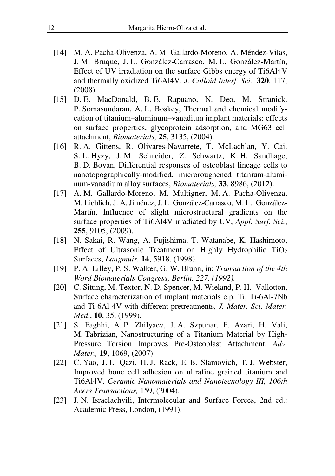- [14] M. A. Pacha-Olivenza, A. M. Gallardo-Moreno, A. Méndez-Vilas, J. M. Bruque, J. L. González-Carrasco, M. L. González-Martín, Effect of UV irradiation on the surface Gibbs energy of Ti6Al4V and thermally oxidized Ti6Al4V, *J. Colloid Interf. Sci.,* **320**, 117, (2008).
- [15] D. E. MacDonald, B. E. Rapuano, N. Deo, M. Stranick, P. Somasundaran, A. L. Boskey, Thermal and chemical modifycation of titanium–aluminum–vanadium implant materials: effects on surface properties, glycoprotein adsorption, and MG63 cell attachment, *Biomaterials,* **25**, 3135, (2004).
- [16] R. A. Gittens, R. Olivares-Navarrete, T. McLachlan, Y. Cai, S. L. Hyzy, J. M. Schneider, Z. Schwartz, K. H. Sandhage, B. D. Boyan, Differential responses of osteoblast lineage cells to nanotopographically-modified, microroughened titanium-aluminum-vanadium alloy surfaces, *Biomaterials,* **33**, 8986, (2012).
- [17] A. M. Gallardo-Moreno, M. Multigner, M. A. Pacha-Olivenza, M. Lieblich, J. A. Jiménez, J. L. González-Carrasco, M. L. González-Martín, Influence of slight microstructural gradients on the surface properties of Ti6Al4V irradiated by UV, *Appl. Surf. Sci.*, **255**, 9105, (2009).
- [18] N. Sakai, R. Wang, A. Fujishima, T. Watanabe, K. Hashimoto, Effect of Ultrasonic Treatment on Highly Hydrophilic  $TiO<sub>2</sub>$ Surfaces, *Langmuir,* **14**, 5918, (1998).
- [19] P. A. Lilley, P. S. Walker, G. W. Blunn, in: *Transaction of the 4th Word Biomaterials Congress, Berlin, 227, (1992).*
- [20] C. Sitting, M. Textor, N. D. Spencer, M. Wieland, P. H. Vallotton, Surface characterization of implant materials c.p. Ti, Ti-6Al-7Nb and Ti-6Al-4V with different pretreatments*, J. Mater. Sci. Mater. Med*., **10**, 35, (1999).
- [21] S. Faghhi, A. P. Zhilyaev, J. A. Szpunar, F. Azari, H. Vali, M. Tabrizian, Nanostructuring of a Titanium Material by High-Pressure Torsion Improves Pre-Osteoblast Attachment, *Adv. Mater.,* **19**, 1069, (2007).
- [22] C. Yao, J. L. Qazi, H. J. Rack, E. B. Slamovich, T. J. Webster, Improved bone cell adhesion on ultrafine grained titanium and Ti6Al4V. *Ceramic Nanomaterials and Nanotecnology III, 106th Acers Transactions,* 159, (2004).
- [23] J. N. Israelachvili, Intermolecular and Surface Forces, 2nd ed.: Academic Press, London, (1991).